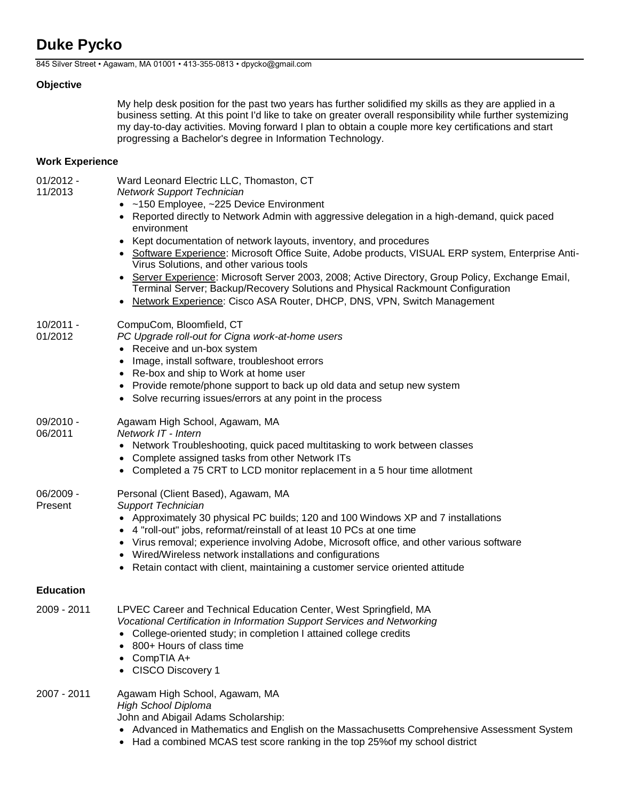# **Duke Pycko**

845 Silver Street • Agawam, MA 01001 • 413-355-0813 • dpycko@gmail.com

### **Objective**

My help desk position for the past two years has further solidified my skills as they are applied in a business setting. At this point I'd like to take on greater overall responsibility while further systemizing my day-to-day activities. Moving forward I plan to obtain a couple more key certifications and start progressing a Bachelor's degree in Information Technology.

# **Work Experience**

01/2012 - 11/2013 Ward Leonard Electric LLC, Thomaston, CT *Network Support Technician* • ~150 Employee, ~225 Device Environment • Reported directly to Network Admin with aggressive delegation in a high-demand, quick paced environment • Kept documentation of network layouts, inventory, and procedures Software Experience: Microsoft Office Suite, Adobe products, VISUAL ERP system, Enterprise Anti-Virus Solutions, and other various tools Server Experience: Microsoft Server 2003, 2008; Active Directory, Group Policy, Exchange Email, Terminal Server; Backup/Recovery Solutions and Physical Rackmount Configuration • Network Experience: Cisco ASA Router, DHCP, DNS, VPN, Switch Management 10/2011 - 01/2012 CompuCom, Bloomfield, CT *PC Upgrade roll-out for Cigna work-at-home users* • Receive and un-box system • Image, install software, troubleshoot errors • Re-box and ship to Work at home user • Provide remote/phone support to back up old data and setup new system Solve recurring issues/errors at any point in the process 09/2010 - 06/2011 Agawam High School, Agawam, MA *Network IT - Intern* • Network Troubleshooting, quick paced multitasking to work between classes Complete assigned tasks from other Network ITs • Completed a 75 CRT to LCD monitor replacement in a 5 hour time allotment 06/2009 - Present Personal (Client Based), Agawam, MA *Support Technician* • Approximately 30 physical PC builds; 120 and 100 Windows XP and 7 installations 4 "roll-out" jobs, reformat/reinstall of at least 10 PCs at one time • Virus removal; experience involving Adobe, Microsoft office, and other various software Wired/Wireless network installations and configurations Retain contact with client, maintaining a customer service oriented attitude **Education** 2009 - 2011 LPVEC Career and Technical Education Center, West Springfield, MA *Vocational Certification in Information Support Services and Networking* College-oriented study; in completion I attained college credits 800+ Hours of class time CompTIA A+

CISCO Discovery 1

#### 2007 - 2011 Agawam High School, Agawam, MA *High School Diploma* John and Abigail Adams Scholarship:

- Advanced in Mathematics and English on the Massachusetts Comprehensive Assessment System
- Had a combined MCAS test score ranking in the top 25% of my school district